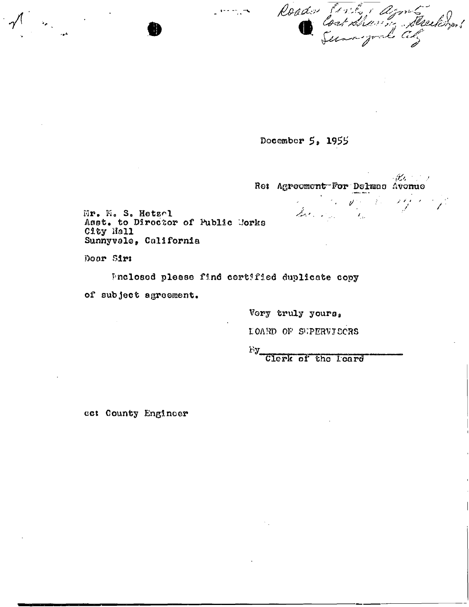Roader forte agent

Docember 5, 1955

・ビック・ショ Re: Agreement For Delmas Avenue the Common States

Mr. M. S. Hetzel Asst. to Director of Public Corks City Hall Sunnyvale, California

Door Sir:

Pnclosod please find certified duplicate copy

of subject agreement.

Vory truly yours,

LOARD OF SUPERVISCRS

Fy.

Clerk of the leard

cc: County Engineer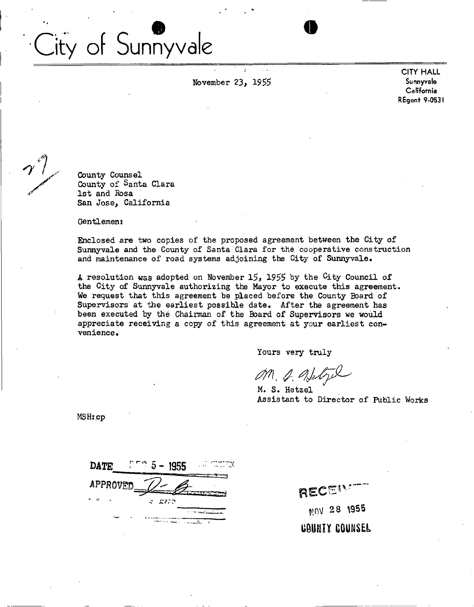# City of Sunnyvale

November 23, 1955 Sunnyvale

*P* **CITY HALL California**  REgent 9-0531

County Counsel County of Santa Clara 1st and Rosa San Jose, California

Gentlemen:

Enclosed are two copies of the proposed agreement between the City of Sunnyvale and the County of Santa Clara for the cooperative construction and maintenance of road systems adjoining the City of Sunnyvale.

A resolution was adopted on November 15, 1955 by the  $C$ ity Council of the City of Sunnyvale authorizing the Mayor to execute this agreement-We request that this agreement be placed before the County Board of Supervisors at the earliest possible date. After the agreement has been executed by the Chairman of the Board of Supervisors we would appreciate receiving a copy of this agreement at your earliest convenience.

Yours very truly

*m. a* 

M. S. Hetzel Assistant to Director of Public Works

MSHs.cp

| <b>DATE</b> | $-1955$ |  |
|-------------|---------|--|
| APPROVED    |         |  |
|             | הנות ג  |  |
|             |         |  |

RECENT MOV 28 1955 **~ MUNI Y COUNSEL**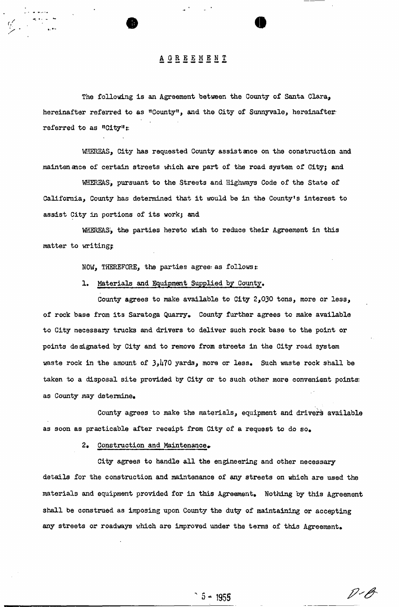# **AGREEMENT**

The following is an Agreement between the County of Santa Clara, hereinafter referred to as "County", and the City of Sunnyvale, hereinafter referred to as "City":

WHEREAS, City has requested County assistance on the construction and mainten ance of certain streets which are part of the road system of City; and

WHEREAS:, pursuant to the Streets and Highways Code of the State of California, County has determined that it would be in the County's interest to assist City in portions of its workj and

WHEREAS?, the parties hereto wish to reduce their Agreement in this matter to writing;

NOW, THEREFORE, the parties agree: as follows::

#### 1. Materials and Equipment Supplied by County,

County agrees to make available to City 2,030 tons, more or less, of rock base from its Saratoga Quarry. County further agrees to make available to City necessary trucks and drivers to deliver such rock base to the point or points designated by City and to remove from streets in the City road system waste rock in the amount of  $3,170$  yards, more or less. Such waste rock shall be taken to a disposal site provided by City or to such other more convenient points; as County may determine.

County agrees to make the materials, equipment and drivers available as soon as practicable after receipt from City of a request to do so.

2. Construction and Maintenance.

City agrees to handle all the engineering and other necessary details for the construction and maintenance of any streets on which are used the materials and equipment provided for in this Agreement. Nothing by this Agreement shall be construed as imposing upon County the duty of maintaining or accepting any streets or roadways which are improved under the terms of this Agreement.

P-O